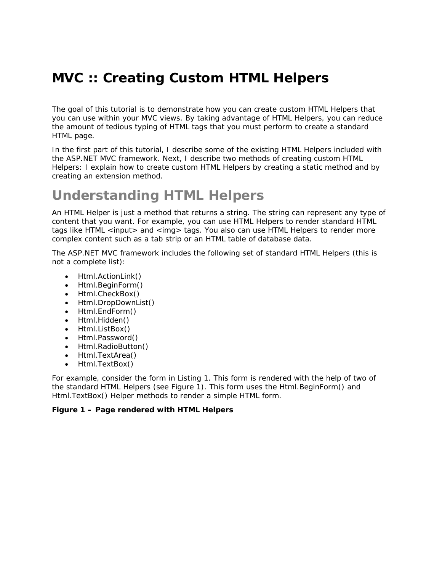# **MVC :: Creating Custom HTML Helpers**

The goal of this tutorial is to demonstrate how you can create custom HTML Helpers that you can use within your MVC views. By taking advantage of HTML Helpers, you can reduce the amount of tedious typing of HTML tags that you must perform to create a standard HTML page.

In the first part of this tutorial, I describe some of the existing HTML Helpers included with the ASP.NET MVC framework. Next, I describe two methods of creating custom HTML Helpers: I explain how to create custom HTML Helpers by creating a static method and by creating an extension method.

# **Understanding HTML Helpers**

An HTML Helper is just a method that returns a string. The string can represent any type of content that you want. For example, you can use HTML Helpers to render standard HTML tags like HTML <input> and <img> tags. You also can use HTML Helpers to render more complex content such as a tab strip or an HTML table of database data.

The ASP.NET MVC framework includes the following set of standard HTML Helpers (this is not a complete list):

- Html.ActionLink()
- Html.BeginForm()
- Html.CheckBox()
- Html.DropDownList()
- Html.EndForm()
- Html.Hidden()
- Html.ListBox()
- Html.Password()
- Html.RadioButton()
- Html.TextArea()
- Html.TextBox()

For example, consider the form in Listing 1. This form is rendered with the help of two of the standard HTML Helpers (see Figure 1). This form uses the Html.BeginForm() and Html.TextBox() Helper methods to render a simple HTML form.

### **Figure 1 – Page rendered with HTML Helpers**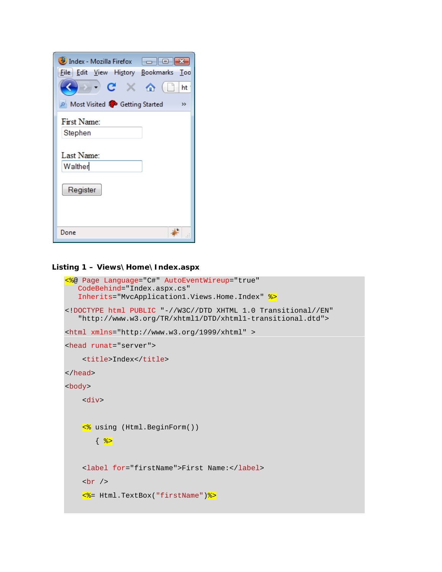| Index - Mozilla Firefox<br>$\begin{array}{ c c c c c }\hline \multicolumn{1}{ c }{\mathbf{C}} & \multicolumn{1}{ c }{\mathbf{X}}\hline \end{array}$<br>File Edit View History Bookmarks Too<br>$C \times A$<br>$\rightarrow$ $\rightarrow$<br>ht<br>Most Visited & Getting Started<br>$\rightarrow$ |
|-----------------------------------------------------------------------------------------------------------------------------------------------------------------------------------------------------------------------------------------------------------------------------------------------------|
| First Name:<br>Stephen                                                                                                                                                                                                                                                                              |
| Last Name:<br>Walther                                                                                                                                                                                                                                                                               |
| Register                                                                                                                                                                                                                                                                                            |
| Done                                                                                                                                                                                                                                                                                                |

### **Listing 1 – Views\Home\Index.aspx**

```
<%@ Page Language="C#" AutoEventWireup="true" 
  CodeBehind="Index.aspx.cs" 
   Inherits="MvcApplication1.Views.Home.Index" %> 
<!DOCTYPE html PUBLIC "-//W3C//DTD XHTML 1.0 Transitional//EN" 
   "http://www.w3.org/TR/xhtml1/DTD/xhtml1-transitional.dtd"> 
<html xmlns="http://www.w3.org/1999/xhtml" > 
<head runat="server"> 
    <title>Index</title>
</head> 
<body> 
     <div> 
     <% using (Html.BeginForm()) 
       \{ \frac{8}{3} <label for="firstName">First Name:</label> 
    br />
     <%= Html.TextBox("firstName")%>
```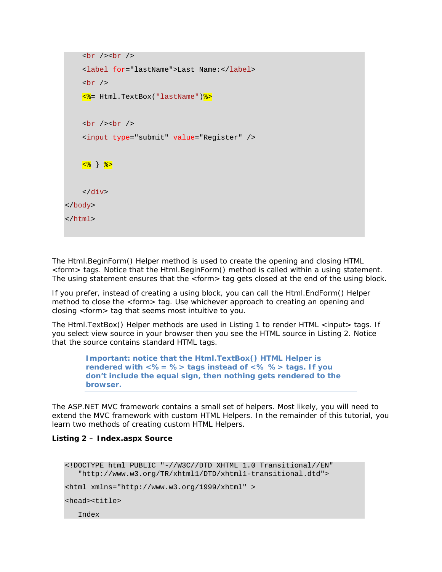```
br />br />br <label for="lastName">Last Name:</label> 
    br />
     <%= Html.TextBox("lastName")%> 
    \braket{br} />\braket{br} />
     <input type="submit" value="Register" /> 
    <mark><% } %></mark>
     </div> 
</body> 
</html>
```
The Html.BeginForm() Helper method is used to create the opening and closing HTML <form> tags. Notice that the Html.BeginForm() method is called within a using statement. The using statement ensures that the <form> tag gets closed at the end of the using block.

If you prefer, instead of creating a using block, you can call the Html.EndForm() Helper method to close the <form> tag. Use whichever approach to creating an opening and closing <form> tag that seems most intuitive to you.

The Html.TextBox() Helper methods are used in Listing 1 to render HTML <input> tags. If you select view source in your browser then you see the HTML source in Listing 2. Notice that the source contains standard HTML tags.

> *Important: notice that the Html.TextBox() HTML Helper is rendered with <%= %> tags instead of <% %> tags. If you don't include the equal sign, then nothing gets rendered to the browser.*

The ASP.NET MVC framework contains a small set of helpers. Most likely, you will need to extend the MVC framework with custom HTML Helpers. In the remainder of this tutorial, you learn two methods of creating custom HTML Helpers.

#### **Listing 2 – Index.aspx Source**

<!DOCTYPE html PUBLIC "-//W3C//DTD XHTML 1.0 Transitional//EN" "http://www.w3.org/TR/xhtml1/DTD/xhtml1-transitional.dtd"> <html xmlns="http://www.w3.org/1999/xhtml" > <head><title> Index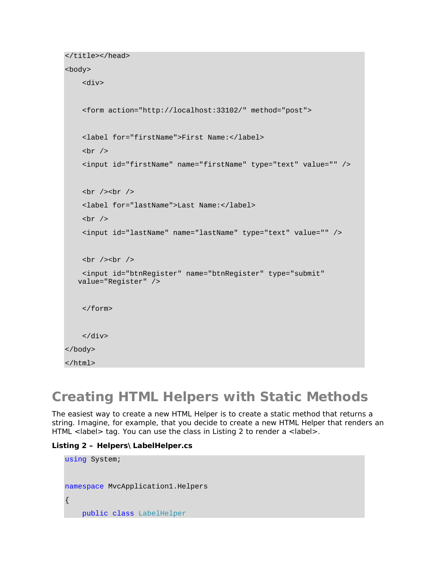```
</title></head>
```
#### <body>

```
 <div> 
     <form action="http://localhost:33102/" method="post"> 
     <label for="firstName">First Name:</label> 
    br />
     <input id="firstName" name="firstName" type="text" value="" /> 
    br />br />br />
     <label for="lastName">Last Name:</label> 
    br />
     <input id="lastName" name="lastName" type="text" value="" /> 
    \text{br} />\text{br} />
     <input id="btnRegister" name="btnRegister" type="submit" 
   value="Register" /> 
     </form> 
     </div> 
</body> 
</html>
```
# **Creating HTML Helpers with Static Methods**

The easiest way to create a new HTML Helper is to create a static method that returns a string. Imagine, for example, that you decide to create a new HTML Helper that renders an HTML <label> tag. You can use the class in Listing 2 to render a <label>.

#### **Listing 2 – Helpers\LabelHelper.cs**

```
using System; 
namespace MvcApplication1.Helpers 
{ 
     public class LabelHelper
```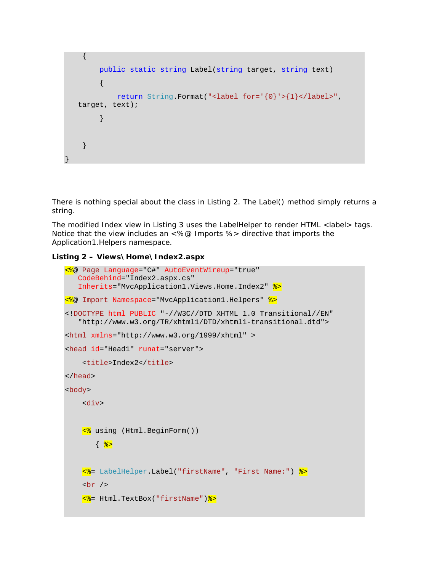```
 { 
         public static string Label(string target, string text) 
         { 
             return String.Format("<label for='{0}'>{1}</label>", 
  target, text); 
 } 
     } 
}
```
There is nothing special about the class in Listing 2. The Label() method simply returns a string.

The modified Index view in Listing 3 uses the LabelHelper to render HTML <label> tags. Notice that the view includes an <%@ Imports %> directive that imports the Application1.Helpers namespace.

```
Listing 2 – Views\Home\Index2.aspx
```

```
<%@ Page Language="C#" AutoEventWireup="true" 
   CodeBehind="Index2.aspx.cs" 
   Inherits="MvcApplication1.Views.Home.Index2" %> 
<%@ Import Namespace="MvcApplication1.Helpers" %> 
<!DOCTYPE html PUBLIC "-//W3C//DTD XHTML 1.0 Transitional//EN" 
   "http://www.w3.org/TR/xhtml1/DTD/xhtml1-transitional.dtd"> 
<html xmlns="http://www.w3.org/1999/xhtml" > 
<head id="Head1" runat="server"> 
     <title>Index2</title> 
</head> 
<body> 
     <div> 
     <% using (Html.BeginForm()) 
       \{ \frac{8}{3} <%= LabelHelper.Label("firstName", "First Name:") %> 
    -br />
     <%= Html.TextBox("firstName")%>
```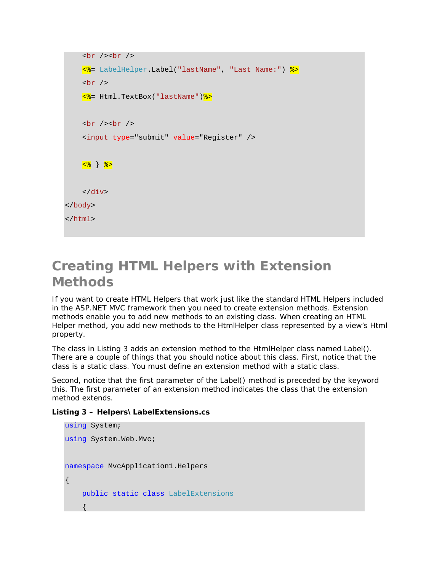```
br />br />br <%= LabelHelper.Label("lastName", "Last Name:") %> 
    br />
     <%= Html.TextBox("lastName")%> 
    \braket{br} />\braket{br} />
     <input type="submit" value="Register" /> 
    <mark><% } %></mark>
     </div> 
</body> 
</html>
```
### **Creating HTML Helpers with Extension Methods**

If you want to create HTML Helpers that work just like the standard HTML Helpers included in the ASP.NET MVC framework then you need to create extension methods. Extension methods enable you to add new methods to an existing class. When creating an HTML Helper method, you add new methods to the HtmlHelper class represented by a view's Html property.

The class in Listing 3 adds an extension method to the HtmlHelper class named Label(). There are a couple of things that you should notice about this class. First, notice that the class is a static class. You must define an extension method with a static class.

Second, notice that the first parameter of the Label() method is preceded by the keyword *this*. The first parameter of an extension method indicates the class that the extension method extends.

```
Listing 3 – Helpers\LabelExtensions.cs
```

```
using System; 
using System.Web.Mvc; 
namespace MvcApplication1.Helpers 
{ 
      public static class LabelExtensions 
\left\{ \begin{array}{c} \end{array} \right.
```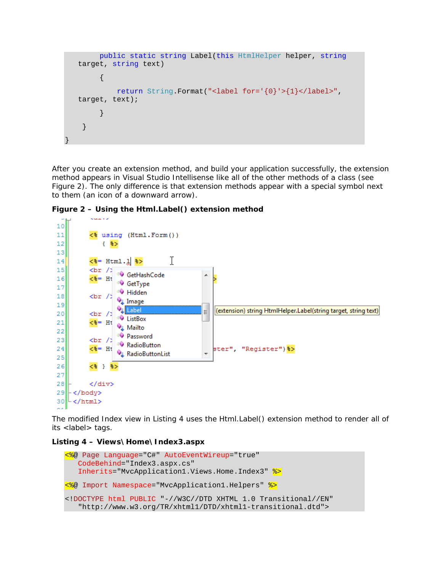```
 public static string Label(this HtmlHelper helper, string
   target, string text) 
\left\{ \begin{array}{c} 0 & 0 \\ 0 & 0 \end{array} \right. return String.Format("<label for='{0}'>{1}</label>", 
   target, text); 
           } 
      } 
}
```
After you create an extension method, and build your application successfully, the extension method appears in Visual Studio Intellisense like all of the other methods of a class (see Figure 2). The only difference is that extension methods appear with a special symbol next to them (an icon of a downward arrow).

**Figure 2 – Using the Html.Label() extension method** 



The modified Index view in Listing 4 uses the Html.Label() extension method to render all of its <label> tags.

**Listing 4 – Views\Home\Index3.aspx** 

```
<%@ Page Language="C#" AutoEventWireup="true" 
   CodeBehind="Index3.aspx.cs" 
   Inherits="MvcApplication1.Views.Home.Index3" %> 
<%@ Import Namespace="MvcApplication1.Helpers" %> 
<!DOCTYPE html PUBLIC "-//W3C//DTD XHTML 1.0 Transitional//EN" 
   "http://www.w3.org/TR/xhtml1/DTD/xhtml1-transitional.dtd">
```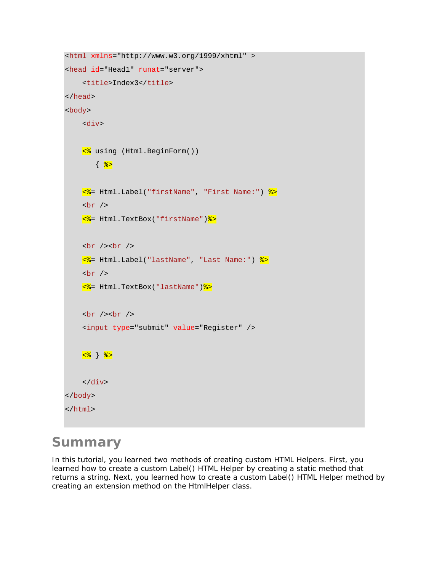```
<html xmlns="http://www.w3.org/1999/xhtml" > 
<head id="Head1" runat="server"> 
    <title>Index3</title>
</head> 
<body> 
     <div> 
     <% using (Html.BeginForm()) 
        \{ \frac{8}{3} <%= Html.Label("firstName", "First Name:") %> 
    br />
     <%= Html.TextBox("firstName")%> 
    br /> \frac{1}{2} <%= Html.Label("lastName", "Last Name:") %> 
    br />
     <%= Html.TextBox("lastName")%> 
    br />br />br />
     <input type="submit" value="Register" /> 
    <mark><% } %></mark>
     </div> 
</body> 
</html>
```
### **Summary**

In this tutorial, you learned two methods of creating custom HTML Helpers. First, you learned how to create a custom Label() HTML Helper by creating a static method that returns a string. Next, you learned how to create a custom Label() HTML Helper method by creating an extension method on the HtmlHelper class.